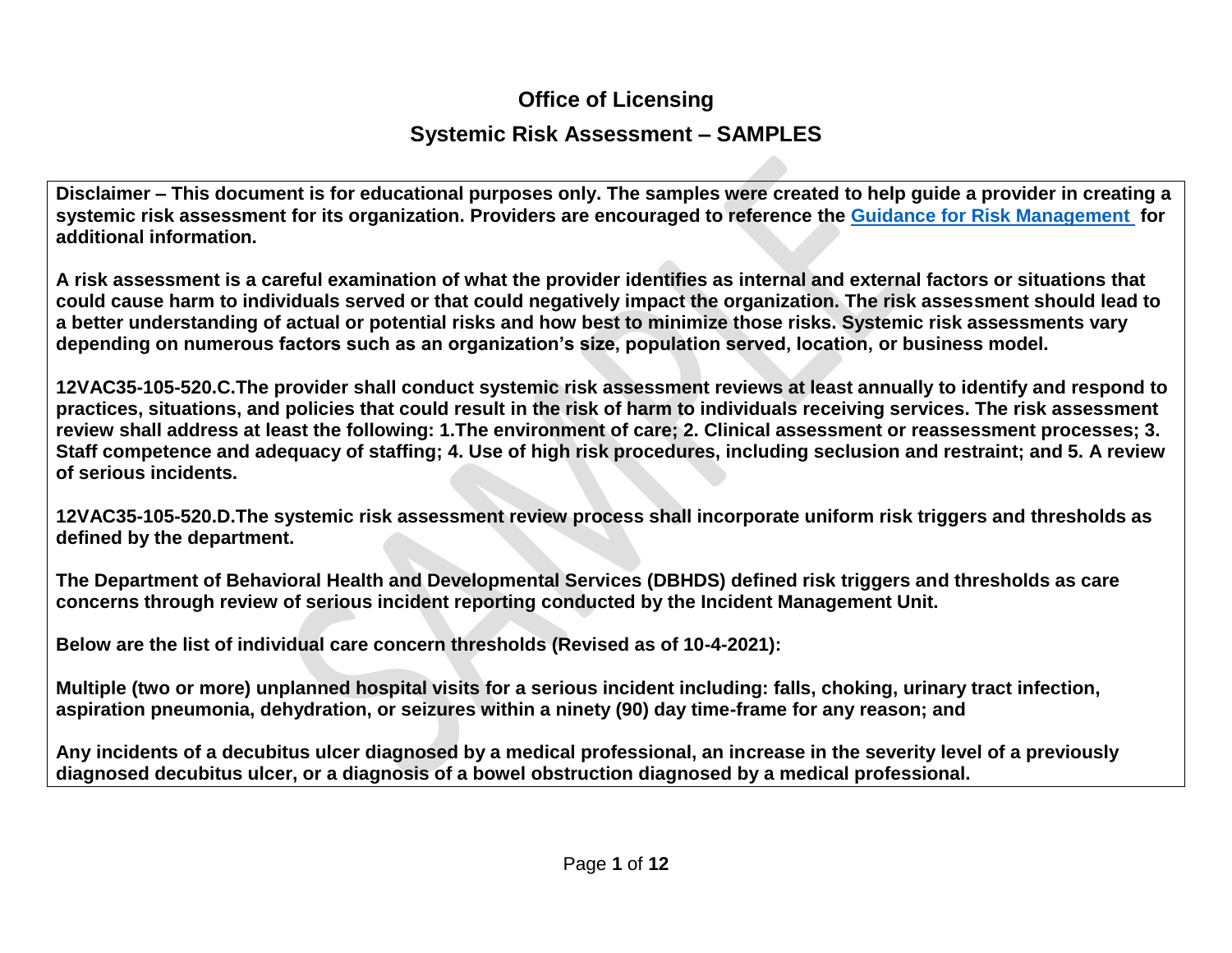## **Office of Licensing**

## **Systemic Risk Assessment – SAMPLES**

**Disclaimer – This document is for educational purposes only. The samples were created to help guide a provider in creating a systemic risk assessment for its organization. Providers are encouraged to reference the [Guidance for Risk Management](https://townhall.virginia.gov/L/GetFile.cfm?File=C:/TownHall/docroot/GuidanceDocs/720/GDoc_DBHDS_6874_v3.pdf) for additional information.**

**A risk assessment is a careful examination of what the provider identifies as internal and external factors or situations that could cause harm to individuals served or that could negatively impact the organization. The risk assessment should lead to a better understanding of actual or potential risks and how best to minimize those risks. Systemic risk assessments vary depending on numerous factors such as an organization's size, population served, location, or business model.** 

**12VAC35-105-520.C.The provider shall conduct systemic risk assessment reviews at least annually to identify and respond to practices, situations, and policies that could result in the risk of harm to individuals receiving services. The risk assessment review shall address at least the following: 1.The environment of care; 2. Clinical assessment or reassessment processes; 3. Staff competence and adequacy of staffing; 4. Use of high risk procedures, including seclusion and restraint; and 5. A review of serious incidents.**

**12VAC35-105-520.D.The systemic risk assessment review process shall incorporate uniform risk triggers and thresholds as defined by the department.**

**The Department of Behavioral Health and Developmental Services (DBHDS) defined risk triggers and thresholds as care concerns through review of serious incident reporting conducted by the Incident Management Unit.**

**Below are the list of individual care concern thresholds (Revised as of 10-4-2021):**

**Multiple (two or more) unplanned hospital visits for a serious incident including: falls, choking, urinary tract infection, aspiration pneumonia, dehydration, or seizures within a ninety (90) day time-frame for any reason; and**

**Any incidents of a decubitus ulcer diagnosed by a medical professional, an increase in the severity level of a previously diagnosed decubitus ulcer, or a diagnosis of a bowel obstruction diagnosed by a medical professional.**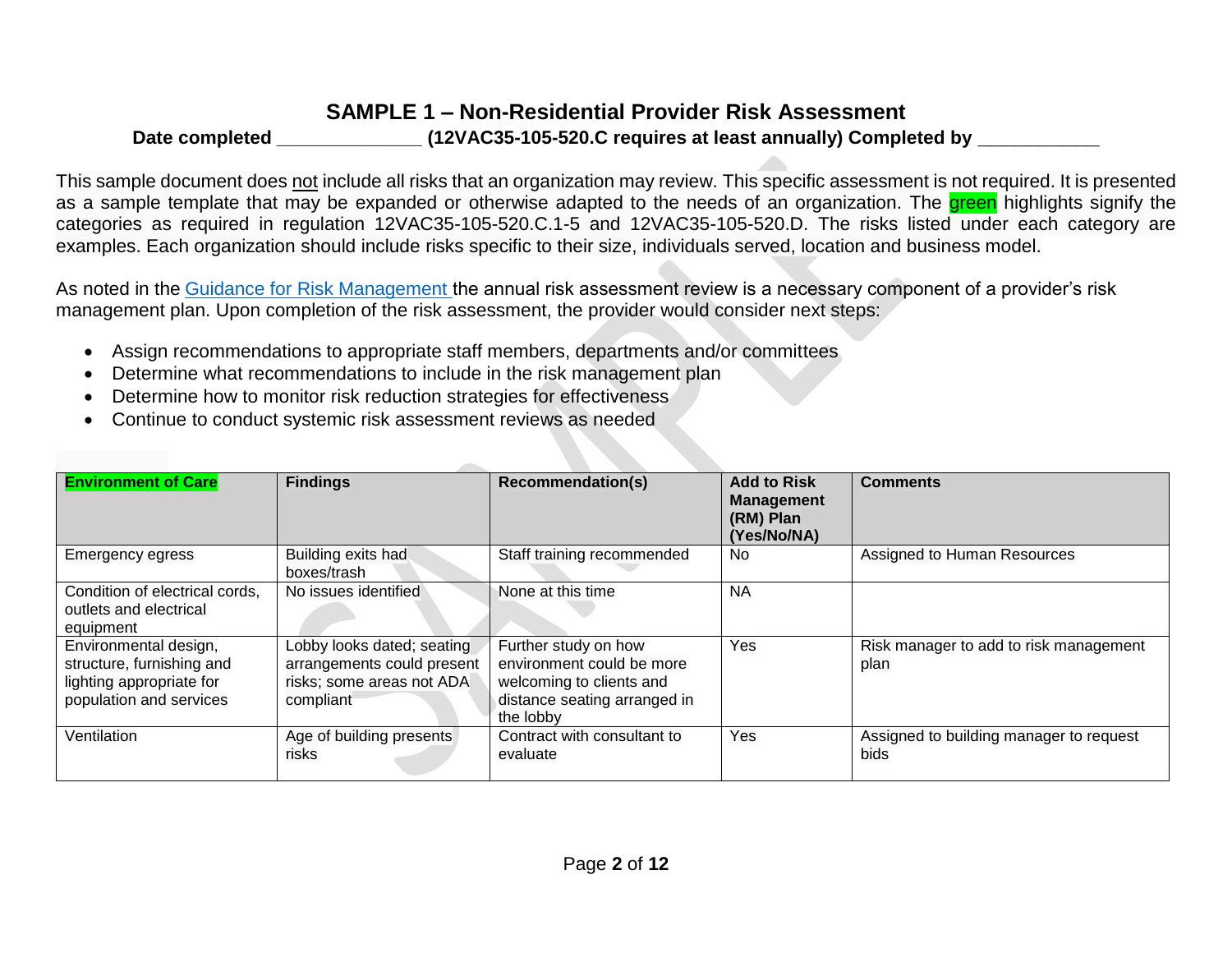## **SAMPLE 1 – Non-Residential Provider Risk Assessment**

#### **Date completed \_\_\_\_\_\_\_\_\_\_\_\_\_\_ (12VAC35-105-520.C requires at least annually) Completed by \_\_\_\_\_\_\_\_\_\_**

This sample document does not include all risks that an organization may review. This specific assessment is not required. It is presented as a sample template that may be expanded or otherwise adapted to the needs of an organization. The **green** highlights signify the categories as required in regulation 12VAC35-105-520.C.1-5 and 12VAC35-105-520.D. The risks listed under each category are examples. Each organization should include risks specific to their size, individuals served, location and business model.

As noted in the [Guidance for Risk Management t](https://townhall.virginia.gov/L/GetFile.cfm?File=C:/TownHall/docroot/GuidanceDocs/720/GDoc_DBHDS_6874_v3.pdf)he annual risk assessment review is a necessary component of a provider's risk management plan. Upon completion of the risk assessment, the provider would consider next steps:

- Assign recommendations to appropriate staff members, departments and/or committees
- Determine what recommendations to include in the risk management plan
- Determine how to monitor risk reduction strategies for effectiveness
- Continue to conduct systemic risk assessment reviews as needed

| <b>Environment of Care</b>                                                                                | <b>Findings</b>                                                                                    | <b>Recommendation(s)</b>                                                                                                   | <b>Add to Risk</b><br><b>Management</b><br>(RM) Plan<br>(Yes/No/NA) | <b>Comments</b>                                 |
|-----------------------------------------------------------------------------------------------------------|----------------------------------------------------------------------------------------------------|----------------------------------------------------------------------------------------------------------------------------|---------------------------------------------------------------------|-------------------------------------------------|
| <b>Emergency egress</b>                                                                                   | Building exits had<br>boxes/trash                                                                  | Staff training recommended                                                                                                 | No                                                                  | Assigned to Human Resources                     |
| Condition of electrical cords,<br>outlets and electrical<br>equipment                                     | No issues identified                                                                               | None at this time                                                                                                          | <b>NA</b>                                                           |                                                 |
| Environmental design,<br>structure, furnishing and<br>lighting appropriate for<br>population and services | Lobby looks dated; seating<br>arrangements could present<br>risks; some areas not ADA<br>compliant | Further study on how<br>environment could be more<br>welcoming to clients and<br>distance seating arranged in<br>the lobby | Yes                                                                 | Risk manager to add to risk management<br>plan  |
| Ventilation                                                                                               | Age of building presents<br>risks                                                                  | Contract with consultant to<br>evaluate                                                                                    | Yes                                                                 | Assigned to building manager to request<br>bids |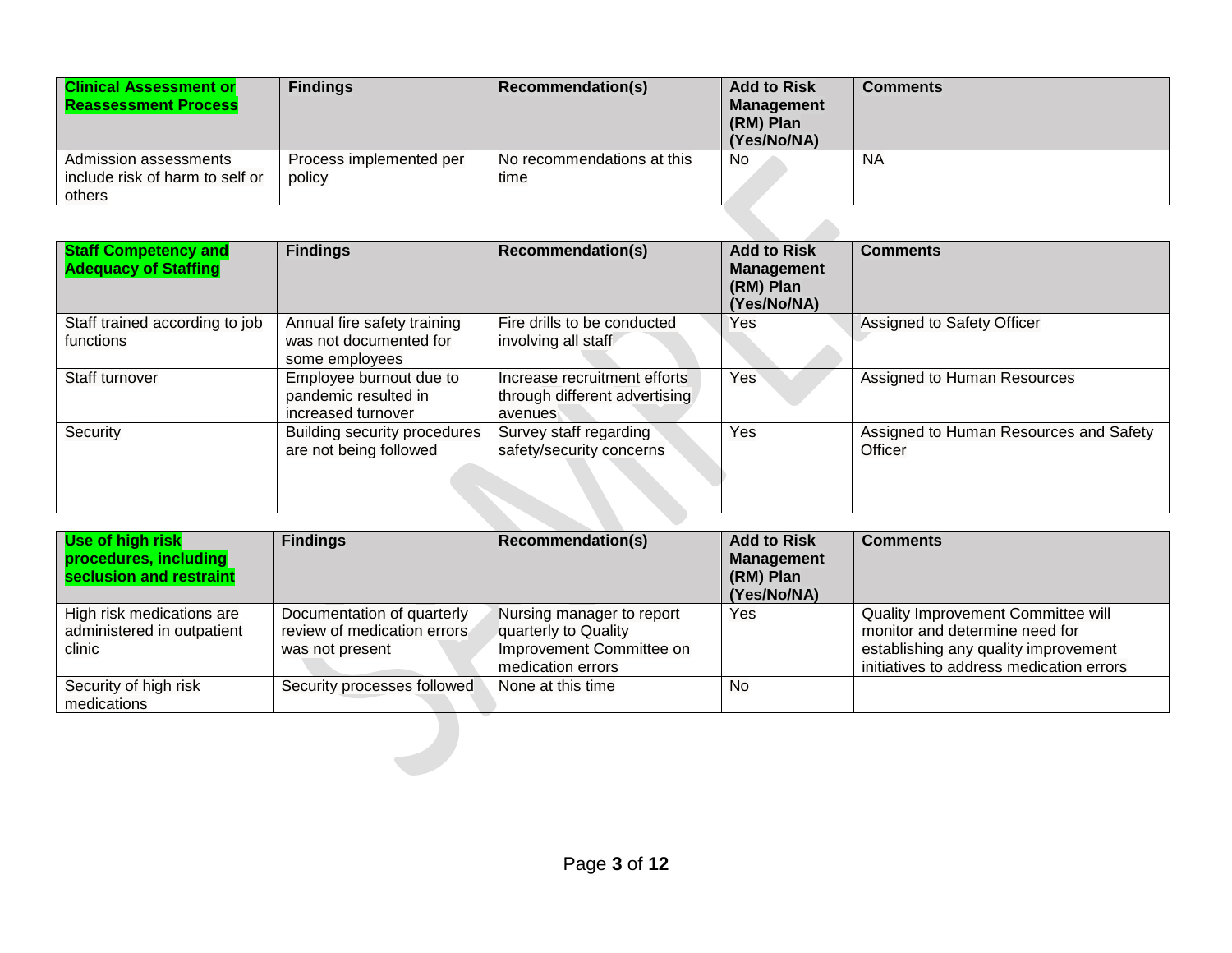| <b>Clinical Assessment or</b><br><b>Reassessment Process</b>       | <b>Findings</b>                   | Recommendation(s)                  | <b>Add to Risk</b><br><b>Management</b><br>(RM) Plan<br>(Yes/No/NA) | Comments |
|--------------------------------------------------------------------|-----------------------------------|------------------------------------|---------------------------------------------------------------------|----------|
| Admission assessments<br>include risk of harm to self or<br>others | Process implemented per<br>policy | No recommendations at this<br>time | No                                                                  | ΝA       |

| <b>Staff Competency and</b><br><b>Adequacy of Staffing</b> | <b>Findings</b>                                                         | <b>Recommendation(s)</b>                                                 | <b>Add to Risk</b><br><b>Management</b><br>(RM) Plan<br>(Yes/No/NA) | <b>Comments</b>                                   |
|------------------------------------------------------------|-------------------------------------------------------------------------|--------------------------------------------------------------------------|---------------------------------------------------------------------|---------------------------------------------------|
| Staff trained according to job<br>functions                | Annual fire safety training<br>was not documented for<br>some employees | Fire drills to be conducted<br>involving all staff                       | Yes                                                                 | Assigned to Safety Officer                        |
| Staff turnover                                             | Employee burnout due to<br>pandemic resulted in<br>increased turnover   | Increase recruitment efforts<br>through different advertising<br>avenues | Yes                                                                 | Assigned to Human Resources                       |
| Security                                                   | Building security procedures<br>are not being followed                  | Survey staff regarding<br>safety/security concerns                       | Yes                                                                 | Assigned to Human Resources and Safety<br>Officer |

| Use of high risk<br>procedures, including<br>seclusion and restraint | <b>Findings</b>                                                              | <b>Recommendation(s)</b>                                                                           | <b>Add to Risk</b><br><b>Management</b><br>(RM) Plan<br>(Yes/No/NA) | <b>Comments</b>                                                                                                                                          |
|----------------------------------------------------------------------|------------------------------------------------------------------------------|----------------------------------------------------------------------------------------------------|---------------------------------------------------------------------|----------------------------------------------------------------------------------------------------------------------------------------------------------|
| High risk medications are<br>administered in outpatient<br>clinic    | Documentation of quarterly<br>review of medication errors<br>was not present | Nursing manager to report<br>quarterly to Quality<br>Improvement Committee on<br>medication errors | Yes                                                                 | Quality Improvement Committee will<br>monitor and determine need for<br>establishing any quality improvement<br>initiatives to address medication errors |
| Security of high risk<br>medications                                 | Security processes followed                                                  | None at this time                                                                                  | No                                                                  |                                                                                                                                                          |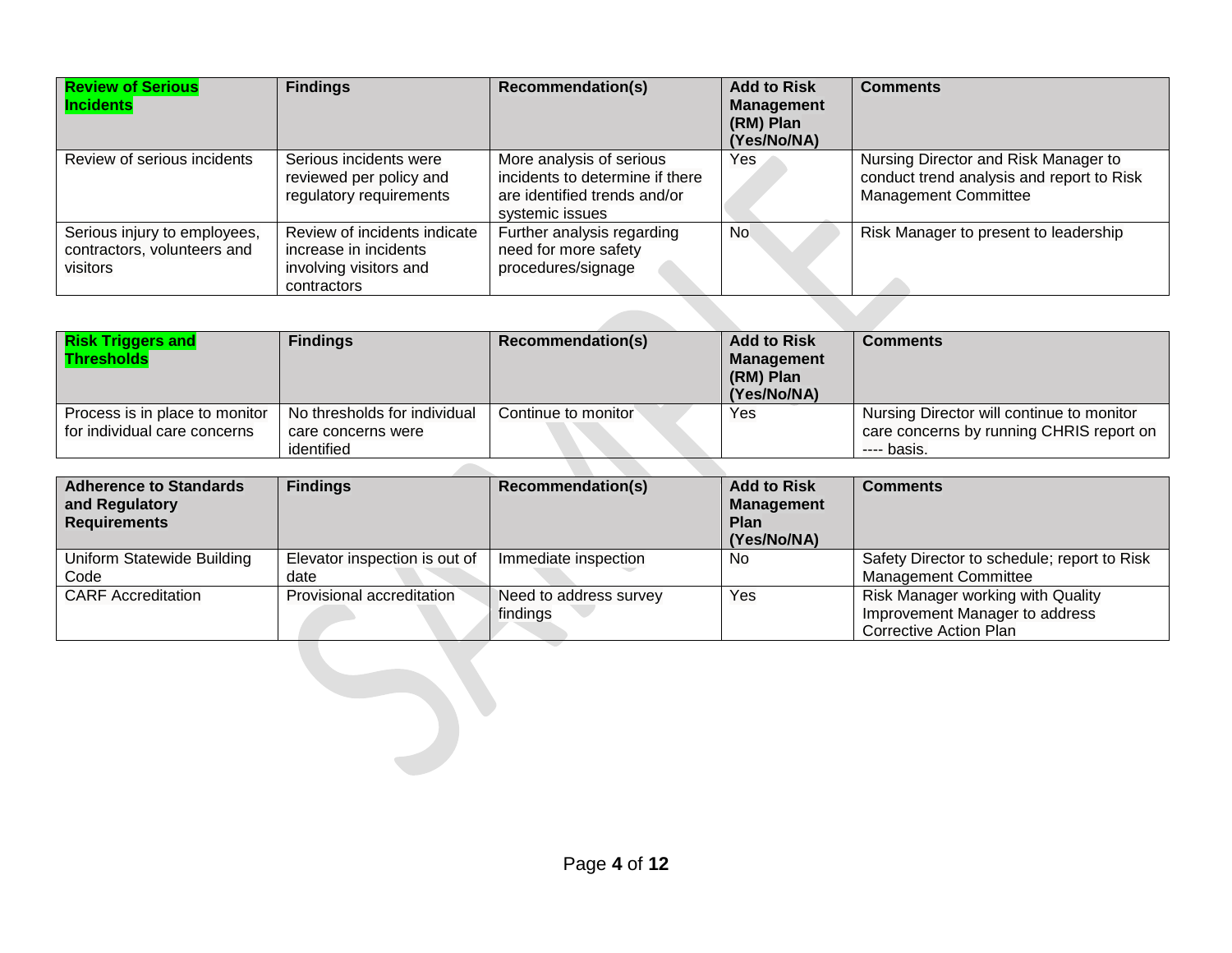| <b>Review of Serious</b><br><b>Incidents</b>                            | <b>Findings</b>                                                                                | <b>Recommendation(s)</b>                                                                                       | <b>Add to Risk</b><br><b>Management</b><br>(RM) Plan<br>(Yes/No/NA) | <b>Comments</b>                                                                                                  |  |  |  |  |  |
|-------------------------------------------------------------------------|------------------------------------------------------------------------------------------------|----------------------------------------------------------------------------------------------------------------|---------------------------------------------------------------------|------------------------------------------------------------------------------------------------------------------|--|--|--|--|--|
| Review of serious incidents                                             | Serious incidents were<br>reviewed per policy and<br>regulatory requirements                   | More analysis of serious<br>incidents to determine if there<br>are identified trends and/or<br>systemic issues | Yes                                                                 | Nursing Director and Risk Manager to<br>conduct trend analysis and report to Risk<br><b>Management Committee</b> |  |  |  |  |  |
| Serious injury to employees,<br>contractors, volunteers and<br>visitors | Review of incidents indicate<br>increase in incidents<br>involving visitors and<br>contractors | Further analysis regarding<br>need for more safety<br>procedures/signage                                       | <b>No</b>                                                           | Risk Manager to present to leadership                                                                            |  |  |  |  |  |
|                                                                         |                                                                                                |                                                                                                                |                                                                     |                                                                                                                  |  |  |  |  |  |

| <b>Risk Triggers and</b><br><b>Thresholds</b>                  | <b>Findings</b>                                                  | Recommendation(s)   | <b>Add to Risk</b><br><b>Management</b><br>(RM) Plan<br>(Yes/No/NA) | Comments                                                                                             |
|----------------------------------------------------------------|------------------------------------------------------------------|---------------------|---------------------------------------------------------------------|------------------------------------------------------------------------------------------------------|
| Process is in place to monitor<br>for individual care concerns | No thresholds for individual<br>care concerns were<br>identified | Continue to monitor | Yes                                                                 | Nursing Director will continue to monitor<br>care concerns by running CHRIS report on<br>---- basis. |

| <b>Adherence to Standards</b><br>and Regulatory<br><b>Requirements</b> | <b>Findings</b>                       | Recommendation(s)                  | <b>Add to Risk</b><br><b>Management</b><br><b>Plan</b><br>(Yes/No/NA) | <b>Comments</b>                                                                                      |
|------------------------------------------------------------------------|---------------------------------------|------------------------------------|-----------------------------------------------------------------------|------------------------------------------------------------------------------------------------------|
| Uniform Statewide Building<br>Code                                     | Elevator inspection is out of<br>date | Immediate inspection               | No                                                                    | Safety Director to schedule; report to Risk<br><b>Management Committee</b>                           |
| <b>CARF Accreditation</b>                                              | Provisional accreditation             | Need to address survey<br>findings | Yes                                                                   | Risk Manager working with Quality<br>Improvement Manager to address<br><b>Corrective Action Plan</b> |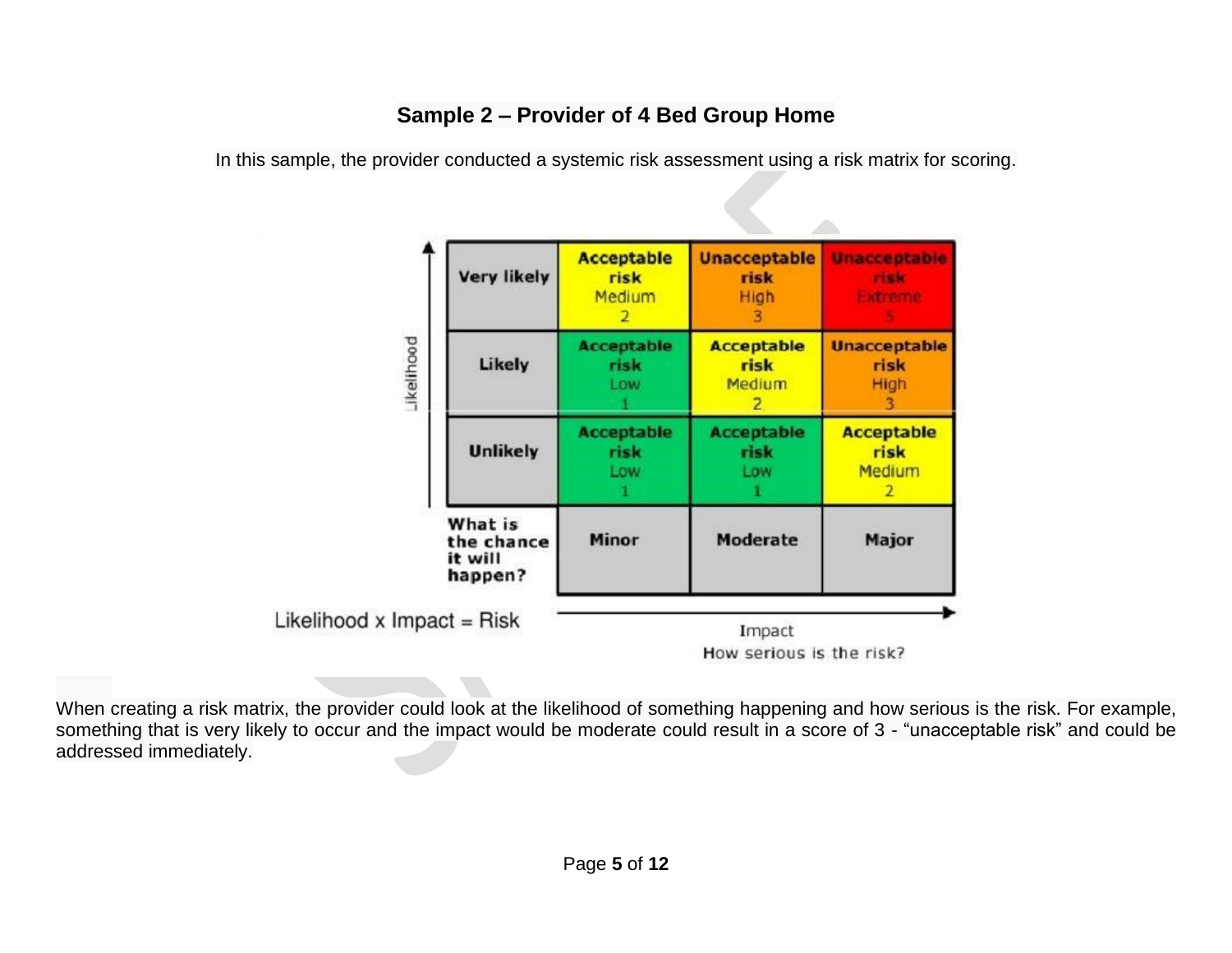# **Sample 2 – Provider of 4 Bed Group Home**

In this sample, the provider conducted a systemic risk assessment using a risk matrix for scoring.



When creating a risk matrix, the provider could look at the likelihood of something happening and how serious is the risk. For example, something that is very likely to occur and the impact would be moderate could result in a score of 3 - "unacceptable risk" and could be addressed immediately.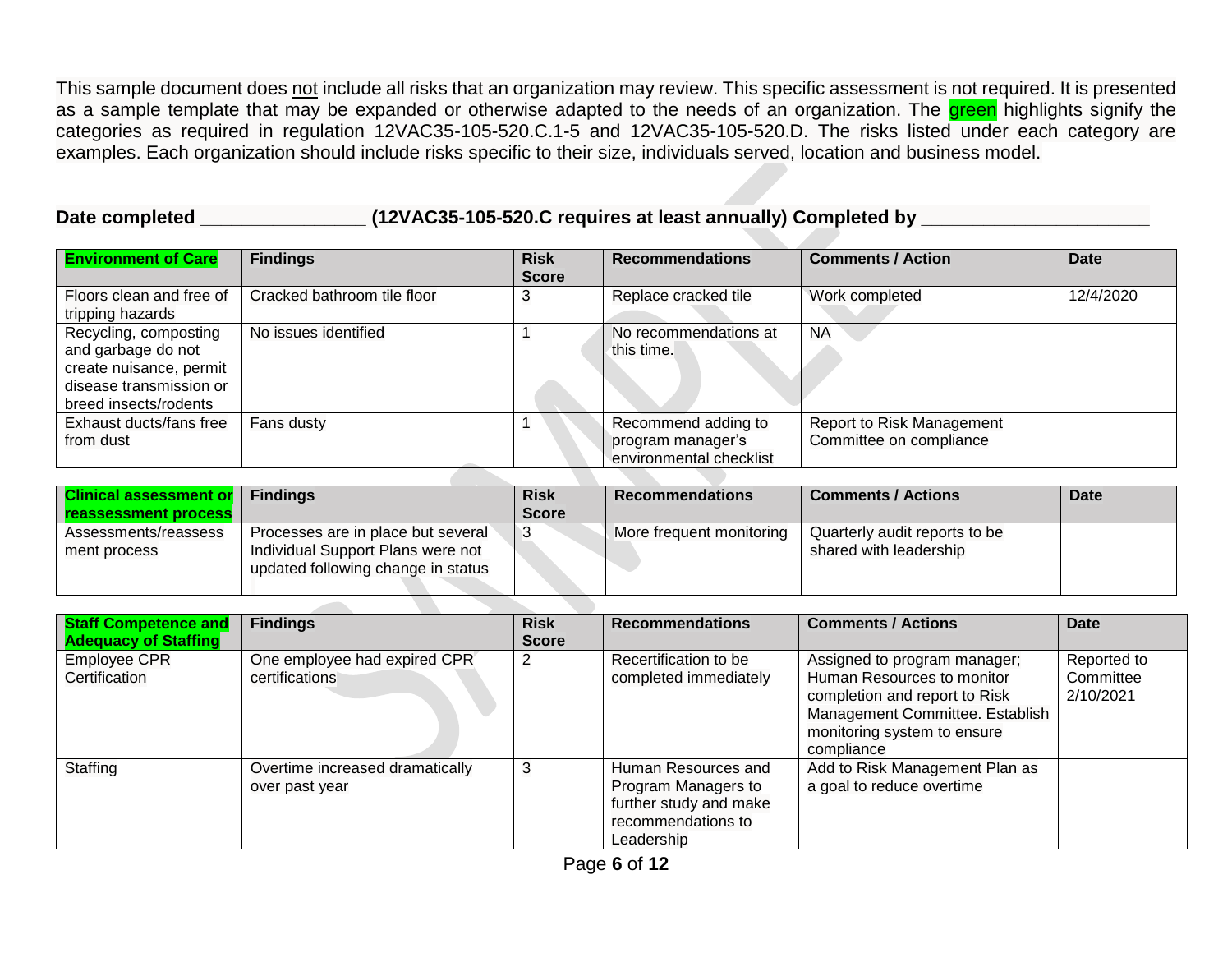This sample document does not include all risks that an organization may review. This specific assessment is not required. It is presented as a sample template that may be expanded or otherwise adapted to the needs of an organization. The green highlights signify the categories as required in regulation 12VAC35-105-520.C.1-5 and 12VAC35-105-520.D. The risks listed under each category are examples. Each organization should include risks specific to their size, individuals served, location and business model.

# **Date completed \_\_\_\_\_\_\_\_\_\_\_\_\_\_\_\_ (12VAC35-105-520.C requires at least annually) Completed by \_\_\_\_\_\_\_\_\_\_\_\_\_\_\_\_\_\_\_\_\_\_**

| <b>Environment of Care</b>                                                                                                 | <b>Findings</b>             | <b>Risk</b><br><b>Score</b> | <b>Recommendations</b>                                              | <b>Comments / Action</b>                                    | <b>Date</b> |
|----------------------------------------------------------------------------------------------------------------------------|-----------------------------|-----------------------------|---------------------------------------------------------------------|-------------------------------------------------------------|-------------|
| Floors clean and free of<br>tripping hazards                                                                               | Cracked bathroom tile floor | 3                           | Replace cracked tile                                                | Work completed                                              | 12/4/2020   |
| Recycling, composting<br>and garbage do not<br>create nuisance, permit<br>disease transmission or<br>breed insects/rodents | No issues identified        |                             | No recommendations at<br>this time.                                 | <b>NA</b>                                                   |             |
| Exhaust ducts/fans free<br>from dust                                                                                       | Fans dusty                  |                             | Recommend adding to<br>program manager's<br>environmental checklist | <b>Report to Risk Management</b><br>Committee on compliance |             |

| <b>Clinical assessment or Findings</b> |                                    | <b>Risk</b>  | <b>Recommendations</b>   | <b>Comments / Actions</b>     | <b>Date</b> |
|----------------------------------------|------------------------------------|--------------|--------------------------|-------------------------------|-------------|
| <b>reassessment process</b>            |                                    | <b>Score</b> |                          |                               |             |
| Assessments/reassess                   | Processes are in place but several |              | More frequent monitoring | Quarterly audit reports to be |             |
| ment process                           | Individual Support Plans were not  |              |                          | shared with leadership        |             |
|                                        | updated following change in status |              |                          |                               |             |
|                                        |                                    |              |                          |                               |             |

| <b>Staff Competence and</b><br><b>Adequacy of Staffing</b> | <b>Findings</b>                                   | <b>Risk</b><br><b>Score</b> | <b>Recommendations</b>                                                                                   | <b>Comments / Actions</b>                                                                                                                                                   | Date                                  |
|------------------------------------------------------------|---------------------------------------------------|-----------------------------|----------------------------------------------------------------------------------------------------------|-----------------------------------------------------------------------------------------------------------------------------------------------------------------------------|---------------------------------------|
| <b>Employee CPR</b><br>Certification                       | One employee had expired CPR<br>certifications    |                             | Recertification to be<br>completed immediately                                                           | Assigned to program manager;<br>Human Resources to monitor<br>completion and report to Risk<br>Management Committee. Establish<br>monitoring system to ensure<br>compliance | Reported to<br>Committee<br>2/10/2021 |
| Staffing                                                   | Overtime increased dramatically<br>over past year | 3                           | Human Resources and<br>Program Managers to<br>further study and make<br>recommendations to<br>Leadership | Add to Risk Management Plan as<br>a goal to reduce overtime                                                                                                                 |                                       |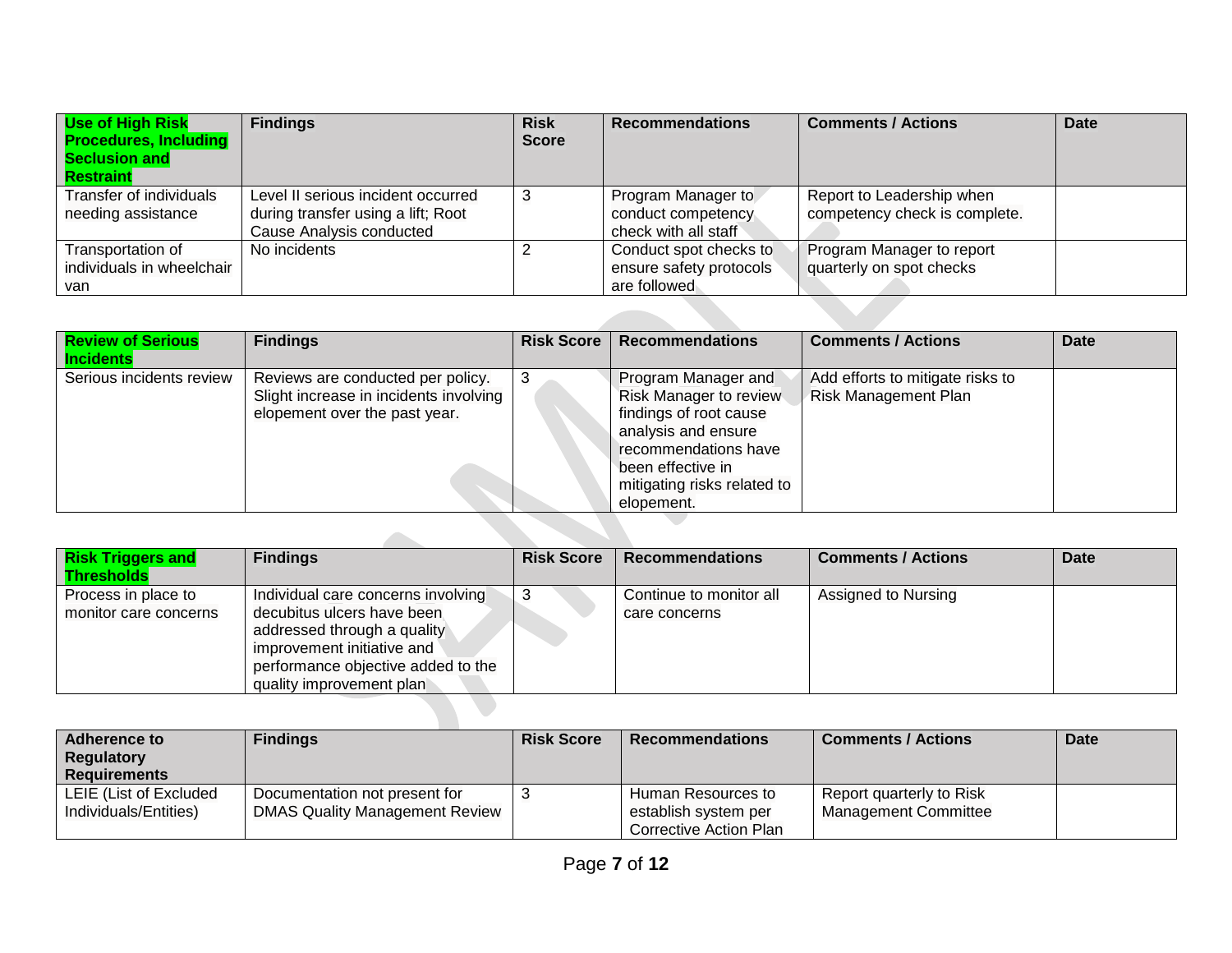| Use of High Risk<br><b>Procedures, Including</b><br>Seclusion and<br><b>Restraint</b> | <b>Findings</b>                                                                                      | <b>Risk</b><br><b>Score</b> | <b>Recommendations</b>                                            | <b>Comments / Actions</b>                                  | <b>Date</b> |
|---------------------------------------------------------------------------------------|------------------------------------------------------------------------------------------------------|-----------------------------|-------------------------------------------------------------------|------------------------------------------------------------|-------------|
| Transfer of individuals<br>needing assistance                                         | Level II serious incident occurred<br>during transfer using a lift; Root<br>Cause Analysis conducted | 3                           | Program Manager to<br>conduct competency<br>check with all staff  | Report to Leadership when<br>competency check is complete. |             |
| Transportation of<br>individuals in wheelchair<br>van                                 | No incidents                                                                                         |                             | Conduct spot checks to<br>ensure safety protocols<br>are followed | Program Manager to report<br>quarterly on spot checks      |             |
|                                                                                       |                                                                                                      |                             |                                                                   |                                                            |             |

| <b>Review of Serious</b><br><b>Incidents</b> | <b>Findings</b>                                                                                              | <b>Risk Score</b> | <b>Recommendations</b>                                                                                                                                                                          | <b>Comments / Actions</b>                                       | <b>Date</b> |
|----------------------------------------------|--------------------------------------------------------------------------------------------------------------|-------------------|-------------------------------------------------------------------------------------------------------------------------------------------------------------------------------------------------|-----------------------------------------------------------------|-------------|
| Serious incidents review                     | Reviews are conducted per policy.<br>Slight increase in incidents involving<br>elopement over the past year. | 3                 | Program Manager and<br><b>Risk Manager to review</b><br>findings of root cause<br>analysis and ensure<br>recommendations have<br>been effective in<br>mitigating risks related to<br>elopement. | Add efforts to mitigate risks to<br><b>Risk Management Plan</b> |             |
|                                              |                                                                                                              |                   |                                                                                                                                                                                                 |                                                                 |             |

| <b>Risk Triggers and</b><br><b>Thresholds</b> | <b>Findings</b>                                                                                                                                           | <b>Risk Score</b> | <b>Recommendations</b>  | <b>Comments / Actions</b> | <b>Date</b> |
|-----------------------------------------------|-----------------------------------------------------------------------------------------------------------------------------------------------------------|-------------------|-------------------------|---------------------------|-------------|
| Process in place to                           | Individual care concerns involving                                                                                                                        |                   | Continue to monitor all | Assigned to Nursing       |             |
| monitor care concerns                         | decubitus ulcers have been<br>addressed through a quality<br>improvement initiative and<br>performance objective added to the<br>quality improvement plan |                   | care concerns           |                           |             |

| <b>Adherence to</b><br><b>Regulatory</b><br><b>Requirements</b> | <b>Findings</b>                                                        | <b>Risk Score</b> | $\blacksquare$ Recommendations $\blacksquare$                        | <b>Comments / Actions</b>                               | <b>Date</b> |
|-----------------------------------------------------------------|------------------------------------------------------------------------|-------------------|----------------------------------------------------------------------|---------------------------------------------------------|-------------|
| LEIE (List of Excluded<br>Individuals/Entities)                 | Documentation not present for<br><b>DMAS Quality Management Review</b> |                   | Human Resources to<br>establish system per<br>Corrective Action Plan | Report quarterly to Risk<br><b>Management Committee</b> |             |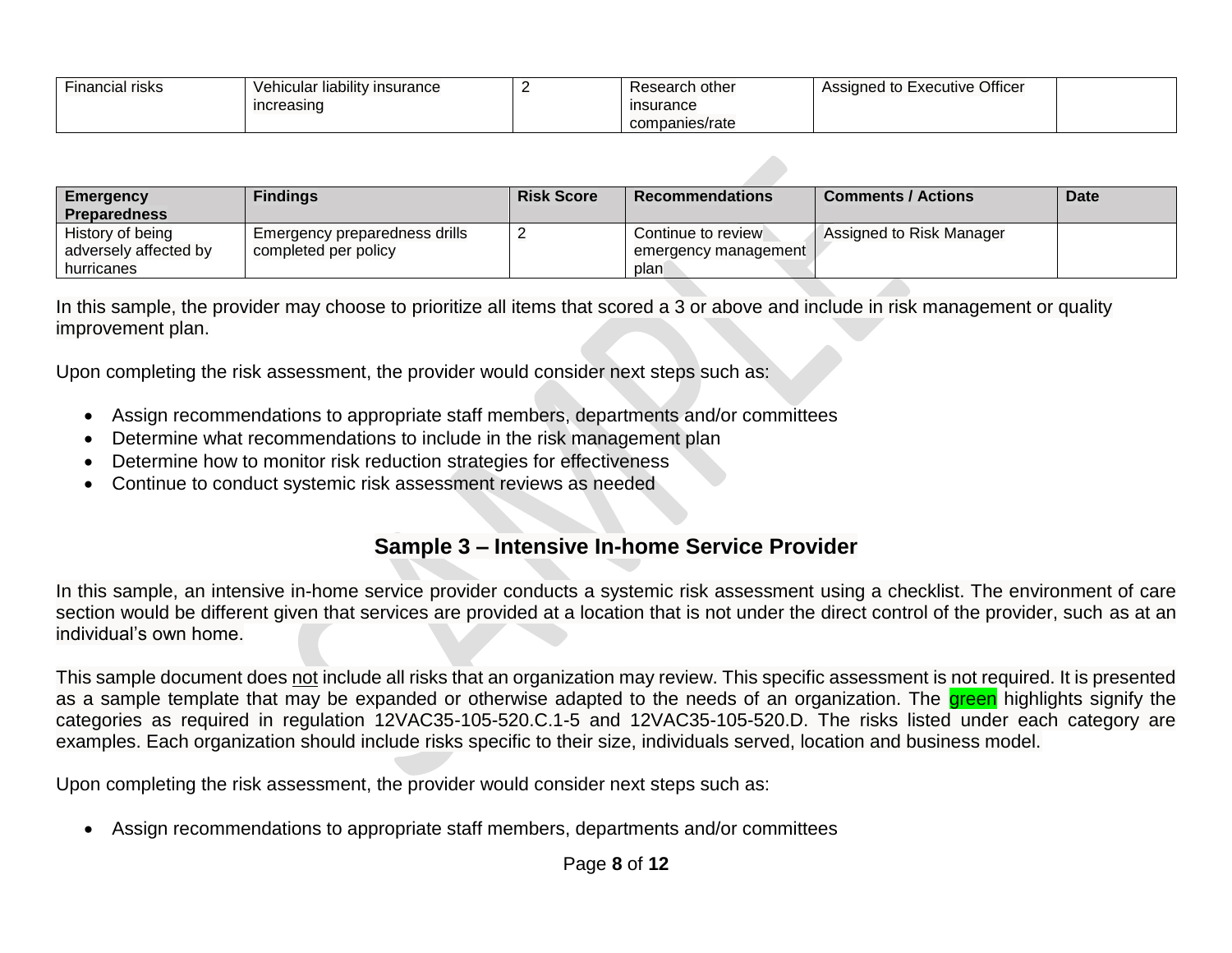| $- \cdot$<br>Financial risks | Vehicular liability insurance | Research other | Assigned to Executive Officer |  |
|------------------------------|-------------------------------|----------------|-------------------------------|--|
|                              | increasing                    | insurance      |                               |  |
|                              |                               | companies/rate |                               |  |

| <b>Emergency</b>      | <b>Findings</b>               | <b>Risk Score</b> | <b>Recommendations</b> | <b>Comments / Actions</b> | Date |
|-----------------------|-------------------------------|-------------------|------------------------|---------------------------|------|
| <b>Preparedness</b>   |                               |                   |                        |                           |      |
| History of being      | Emergency preparedness drills |                   | Continue to review     | Assigned to Risk Manager  |      |
| adversely affected by | completed per policy          |                   | emergency management   |                           |      |
| hurricanes            |                               |                   | plan                   |                           |      |

In this sample, the provider may choose to prioritize all items that scored a 3 or above and include in risk management or quality improvement plan.

Upon completing the risk assessment, the provider would consider next steps such as:

- Assign recommendations to appropriate staff members, departments and/or committees
- Determine what recommendations to include in the risk management plan
- Determine how to monitor risk reduction strategies for effectiveness
- Continue to conduct systemic risk assessment reviews as needed

### **Sample 3 – Intensive In-home Service Provider**

In this sample, an intensive in-home service provider conducts a systemic risk assessment using a checklist. The environment of care section would be different given that services are provided at a location that is not under the direct control of the provider, such as at an individual's own home.

This sample document does not include all risks that an organization may review. This specific assessment is not required. It is presented as a sample template that may be expanded or otherwise adapted to the needs of an organization. The green highlights signify the categories as required in regulation 12VAC35-105-520.C.1-5 and 12VAC35-105-520.D. The risks listed under each category are examples. Each organization should include risks specific to their size, individuals served, location and business model.

Upon completing the risk assessment, the provider would consider next steps such as:

Assign recommendations to appropriate staff members, departments and/or committees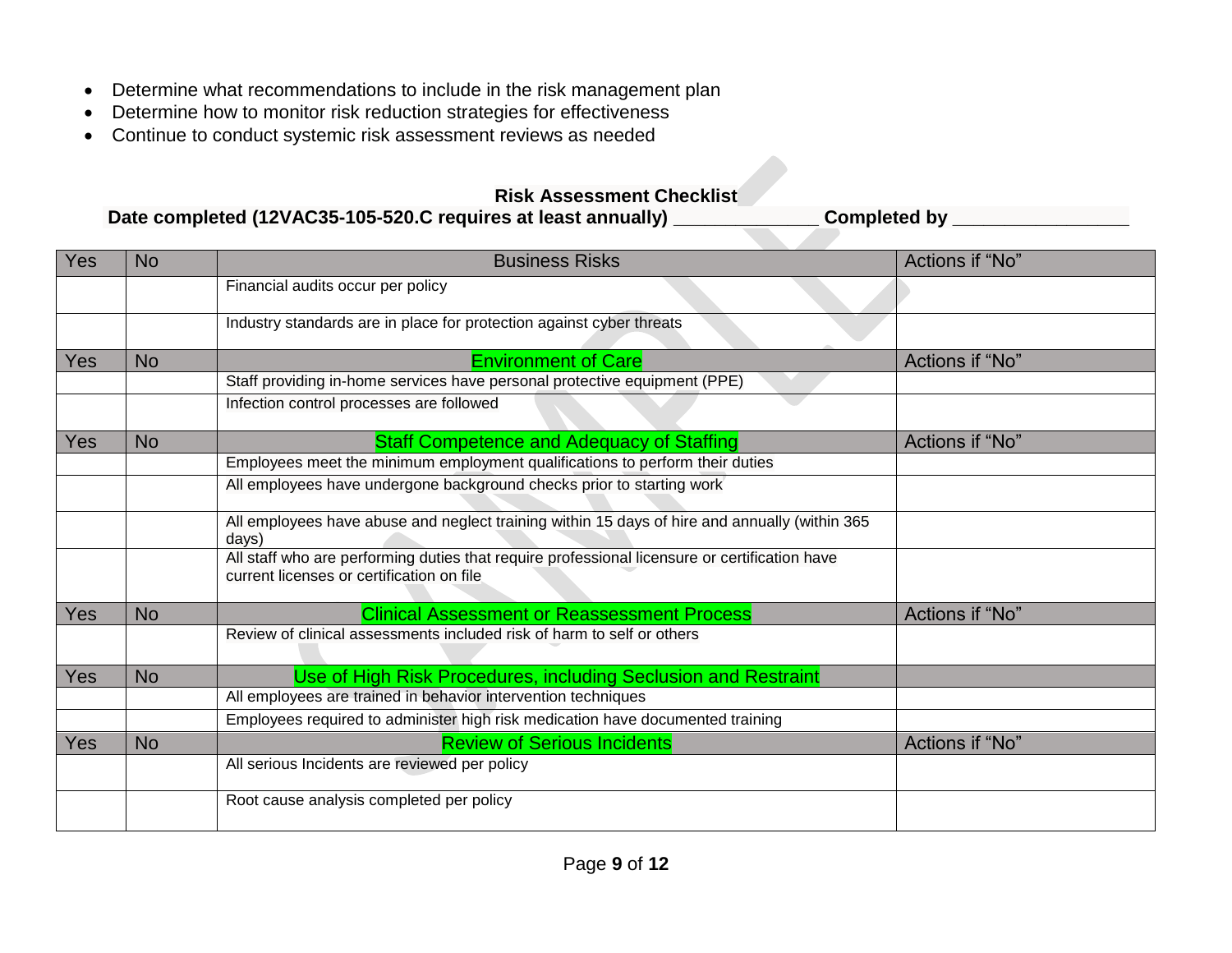- Determine what recommendations to include in the risk management plan
- Determine how to monitor risk reduction strategies for effectiveness
- Continue to conduct systemic risk assessment reviews as needed

#### **Risk Assessment Checklist**

**Date completed (12VAC35-105-520.C requires at least annually) \_\_\_\_\_\_\_\_\_\_\_\_\_\_ Completed by \_\_\_\_\_\_\_\_\_\_\_\_\_\_\_\_\_**

| Yes        | <b>No</b> | <b>Business Risks</b>                                                                                                                      | Actions if "No" |
|------------|-----------|--------------------------------------------------------------------------------------------------------------------------------------------|-----------------|
|            |           | Financial audits occur per policy                                                                                                          |                 |
|            |           | Industry standards are in place for protection against cyber threats                                                                       |                 |
| <b>Yes</b> | <b>No</b> | <b>Environment of Care</b>                                                                                                                 | Actions if "No" |
|            |           | Staff providing in-home services have personal protective equipment (PPE)                                                                  |                 |
|            |           | Infection control processes are followed                                                                                                   |                 |
| Yes        | <b>No</b> | <b>Staff Competence and Adequacy of Staffing</b>                                                                                           | Actions if "No" |
|            |           | Employees meet the minimum employment qualifications to perform their duties                                                               |                 |
|            |           | All employees have undergone background checks prior to starting work                                                                      |                 |
|            |           | All employees have abuse and neglect training within 15 days of hire and annually (within 365<br>days)                                     |                 |
|            |           | All staff who are performing duties that require professional licensure or certification have<br>current licenses or certification on file |                 |
| <b>Yes</b> | <b>No</b> | <b>Clinical Assessment or Reassessment Process</b>                                                                                         | Actions if "No" |
|            |           | Review of clinical assessments included risk of harm to self or others                                                                     |                 |
| Yes        | <b>No</b> | Use of High Risk Procedures, including Seclusion and Restraint                                                                             |                 |
|            |           | All employees are trained in behavior intervention techniques                                                                              |                 |
|            |           | Employees required to administer high risk medication have documented training                                                             |                 |
| <b>Yes</b> | <b>No</b> | <b>Review of Serious Incidents</b>                                                                                                         | Actions if "No" |
|            |           | All serious Incidents are reviewed per policy                                                                                              |                 |
|            |           | Root cause analysis completed per policy                                                                                                   |                 |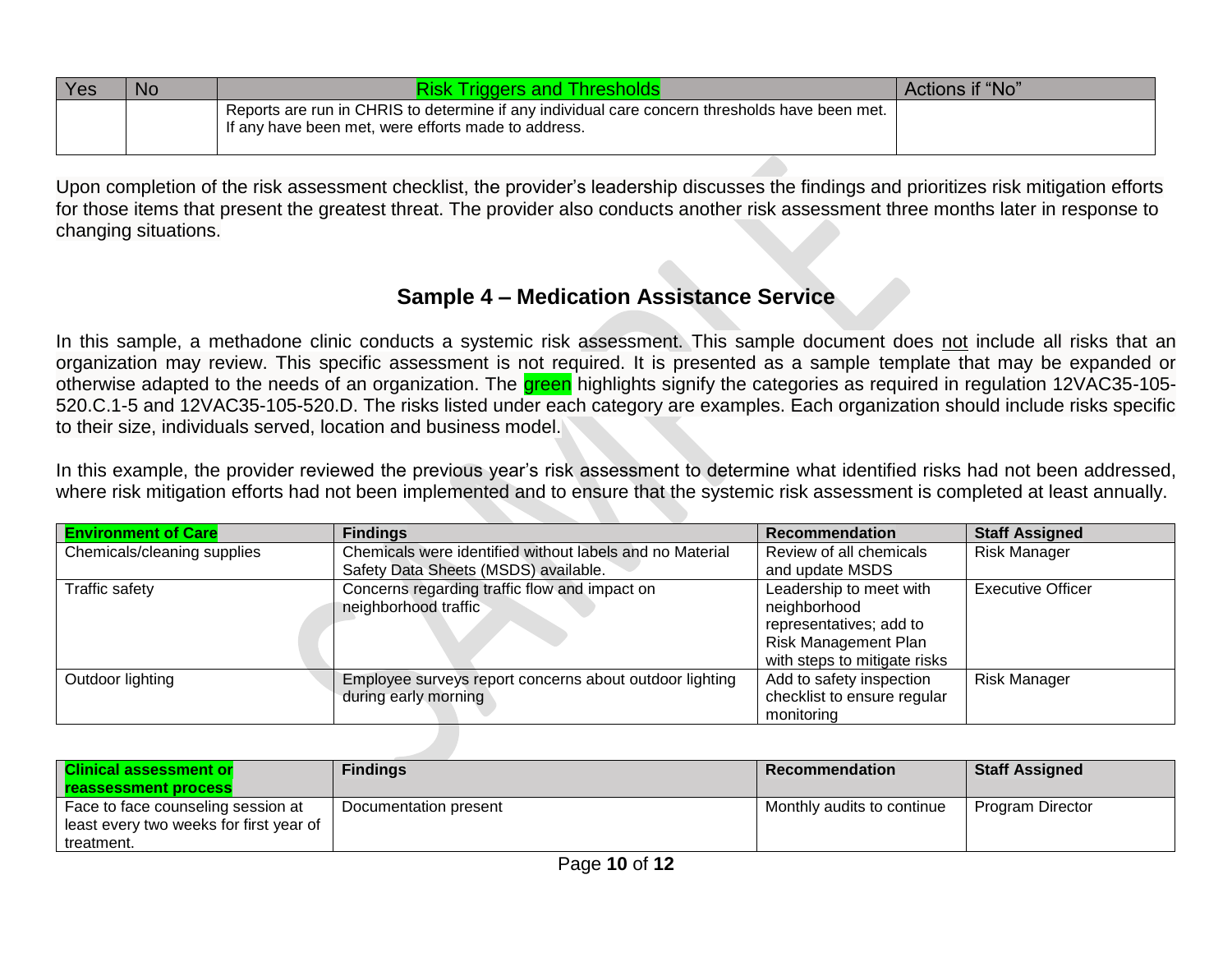| <b>Yes</b> | No | <b>Risk Triggers and Thresholds</b>                                                                                                                   | Actions if "No" |
|------------|----|-------------------------------------------------------------------------------------------------------------------------------------------------------|-----------------|
|            |    | Reports are run in CHRIS to determine if any individual care concern thresholds have been met.<br>If any have been met, were efforts made to address. |                 |

Upon completion of the risk assessment checklist, the provider's leadership discusses the findings and prioritizes risk mitigation efforts for those items that present the greatest threat. The provider also conducts another risk assessment three months later in response to changing situations.

### **Sample 4 – Medication Assistance Service**

In this sample, a methadone clinic conducts a systemic risk assessment. This sample document does not include all risks that an organization may review. This specific assessment is not required. It is presented as a sample template that may be expanded or otherwise adapted to the needs of an organization. The **green** highlights signify the categories as required in regulation 12VAC35-105-520.C.1-5 and 12VAC35-105-520.D. The risks listed under each category are examples. Each organization should include risks specific to their size, individuals served, location and business model.

In this example, the provider reviewed the previous year's risk assessment to determine what identified risks had not been addressed, where risk mitigation efforts had not been implemented and to ensure that the systemic risk assessment is completed at least annually.

| <b>Environment of Care</b>  | <b>Findings</b>                                          | <b>Recommendation</b>        | <b>Staff Assigned</b>    |
|-----------------------------|----------------------------------------------------------|------------------------------|--------------------------|
| Chemicals/cleaning supplies | Chemicals were identified without labels and no Material | Review of all chemicals      | <b>Risk Manager</b>      |
|                             | Safety Data Sheets (MSDS) available.                     | and update MSDS              |                          |
| <b>Traffic safety</b>       | Concerns regarding traffic flow and impact on            | Leadership to meet with      | <b>Executive Officer</b> |
|                             | neighborhood traffic                                     | neighborhood                 |                          |
|                             |                                                          | representatives; add to      |                          |
|                             |                                                          | <b>Risk Management Plan</b>  |                          |
|                             |                                                          | with steps to mitigate risks |                          |
| Outdoor lighting            | Employee surveys report concerns about outdoor lighting  | Add to safety inspection     | <b>Risk Manager</b>      |
|                             | during early morning                                     | checklist to ensure regular  |                          |
|                             |                                                          | monitoring                   |                          |

| <b>Clinical assessment or</b><br><b>reassessment process</b>                  | <b>Findings</b>       | <b>Recommendation</b>      | <b>Staff Assigned</b> |
|-------------------------------------------------------------------------------|-----------------------|----------------------------|-----------------------|
| Face to face counseling session at<br>least every two weeks for first year of | Documentation present | Monthly audits to continue | Program Director      |
| treatment.                                                                    |                       |                            |                       |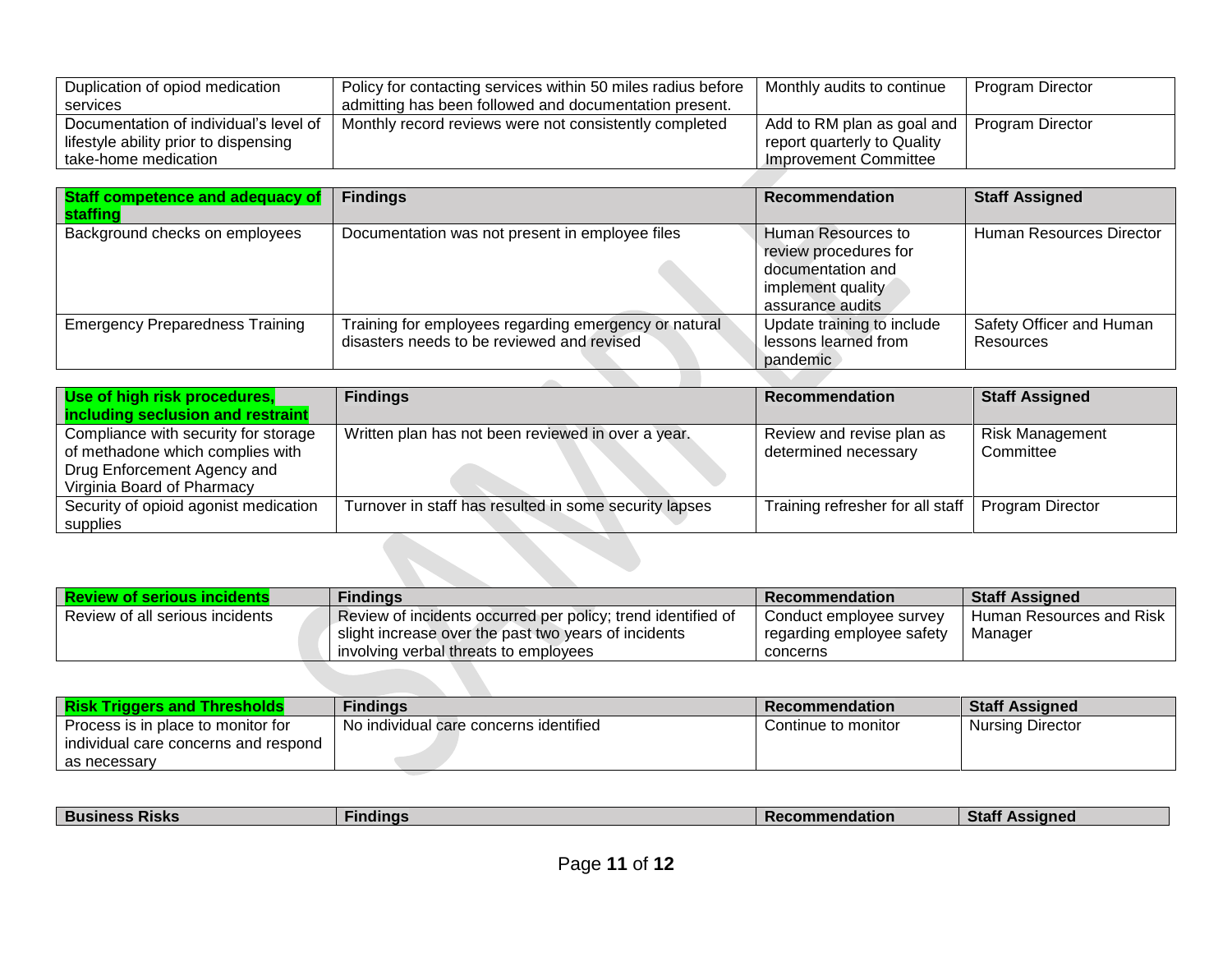| Duplication of opiod medication        | Policy for contacting services within 50 miles radius before | Monthly audits to continue  | Program Director |
|----------------------------------------|--------------------------------------------------------------|-----------------------------|------------------|
| services                               | admitting has been followed and documentation present.       |                             |                  |
| Documentation of individual's level of | Monthly record reviews were not consistently completed       | Add to RM plan as goal and  | Program Director |
| lifestyle ability prior to dispensing  |                                                              | report quarterly to Quality |                  |
| take-home medication                   |                                                              | Improvement Committee       |                  |

| <b>Staff competence and adequacy of</b><br><b>staffing</b> | <b>Findings</b>                                                                                     | <b>Recommendation</b>                                                                                     | <b>Staff Assigned</b>                 |
|------------------------------------------------------------|-----------------------------------------------------------------------------------------------------|-----------------------------------------------------------------------------------------------------------|---------------------------------------|
| Background checks on employees                             | Documentation was not present in employee files                                                     | Human Resources to<br>review procedures for<br>documentation and<br>implement quality<br>assurance audits | Human Resources Director              |
| <b>Emergency Preparedness Training</b>                     | Training for employees regarding emergency or natural<br>disasters needs to be reviewed and revised | Update training to include<br>lessons learned from<br>pandemic                                            | Safety Officer and Human<br>Resources |

| Use of high risk procedures,          | <b>Findings</b>                                        | <b>Recommendation</b>            | <b>Staff Assigned</b>  |
|---------------------------------------|--------------------------------------------------------|----------------------------------|------------------------|
| including seclusion and restraint     |                                                        |                                  |                        |
| Compliance with security for storage  | Written plan has not been reviewed in over a year.     | Review and revise plan as        | <b>Risk Management</b> |
| of methadone which complies with      |                                                        | determined necessary             | Committee              |
| Drug Enforcement Agency and           |                                                        |                                  |                        |
| Virginia Board of Pharmacy            |                                                        |                                  |                        |
| Security of opioid agonist medication | Turnover in staff has resulted in some security lapses | Training refresher for all staff | Program Director       |
| supplies                              |                                                        |                                  |                        |
|                                       |                                                        |                                  |                        |
|                                       |                                                        |                                  |                        |
|                                       |                                                        |                                  |                        |

| <b>Review of serious incidents</b> | <b>Findings</b>                                              | <b>Recommendation</b>     | <b>Staff Assigned</b>    |
|------------------------------------|--------------------------------------------------------------|---------------------------|--------------------------|
| Review of all serious incidents    | Review of incidents occurred per policy; trend identified of | Conduct employee survey   | Human Resources and Risk |
|                                    | slight increase over the past two years of incidents         | regarding employee safety | Manager                  |
|                                    | involving verbal threats to employees                        | concerns                  |                          |
|                                    |                                                              |                           |                          |

| <b>Risk Triggers and Thresholds</b>  | <b>Findings</b>                        | <b>Recommendation</b> | <b>Staff Assigned</b>   |
|--------------------------------------|----------------------------------------|-----------------------|-------------------------|
| Process is in place to monitor for   | No individual care concerns identified | Continue to monitor   | <b>Nursing Director</b> |
| individual care concerns and respond |                                        |                       |                         |
| as necessary                         |                                        |                       |                         |

| --                  |                         |        |                 |                                     |
|---------------------|-------------------------|--------|-----------------|-------------------------------------|
| əla.<br>INIƏRƏ<br>. | <b>Bus</b><br>$J = 1/2$ | ndinas | <b>Indation</b> | $n$ n $\sim$<br>---<br>$\mathbf{r}$ |